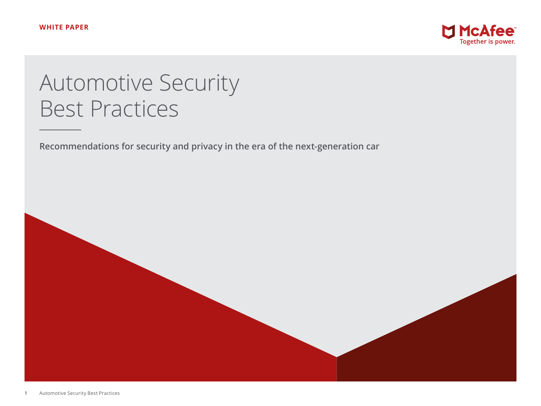

# Automotive Security Best Practices

**Recommendations for security and privacy in the era of the next-generation car**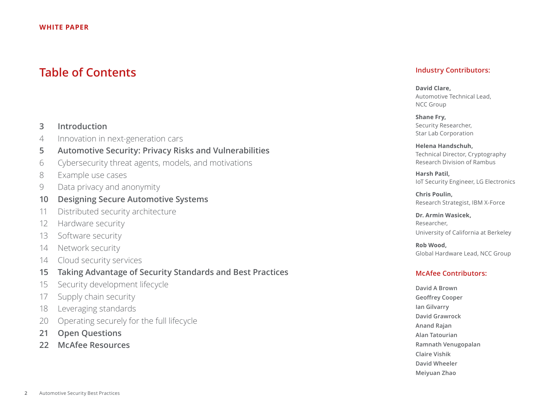# **Table of Contents**

# **3 [Introduction](#page-2-0)**

- 4 [Innovation in next-generation cars](#page-3-0)
- **5 [Automotive Security: Privacy Risks and Vulnerabilities](#page-4-0)**
- 6 [Cybersecurity threat agents, models, and motivations](#page-5-0)
- 8 [Example use cases](#page-7-0)
- 9 [Data privacy and anonymity](#page-8-0)
- **10 [Designing Secure Automotive Systems](#page-9-0)**
- 11 [Distributed security architecture](#page-10-0)
- 12 [Hardware security](#page-11-0)
- 13 [Software security](#page-12-0)
- 14 [Network security](#page-13-0)
- 14 [Cloud security services](#page-13-0)
- **15 [Taking Advantage of Security Standards and Best Practices](#page-14-0)**
- 15 [Security development lifecycle](#page-14-0)
- 17 [Supply chain security](#page-16-0)
- 18 [Leveraging standards](#page-17-0)
- 20 [Operating securely for the full lifecycle](#page-19-0)
- **21 [Open Questions](#page-20-0)**
- **22 [McAfee Resources](#page-21-0)**

# **Industry Contributors:**

**David Clare,**  Automotive Technical Lead, NCC Group

**Shane Fry,**  Security Researcher, Star Lab Corporation

**Helena Handschuh,**  Technical Director, Cryptography Research Division of Rambus

**Harsh Patil,**  IoT Security Engineer, LG Electronics

**Chris Poulin,**  Research Strategist, IBM X-Force

**Dr. Armin Wasicek,**  Researcher, University of California at Berkeley

**Rob Wood,**  Global Hardware Lead, NCC Group

# **McAfee Contributors:**

**David A Brown Geoffrey Cooper Ian Gilvarry David Grawrock Anand Rajan Alan Tatourian Ramnath Venugopalan Claire Vishik David Wheeler Meiyuan Zhao**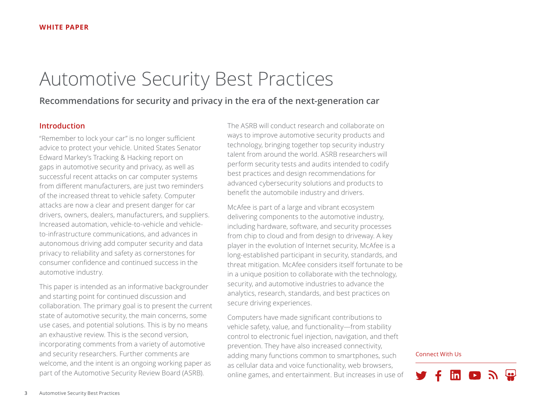# <span id="page-2-0"></span>Automotive Security Best Practices

# **Recommendations for security and privacy in the era of the next-generation car**

# **Introduction**

"Remember to lock your car" is no longer sufficient advice to protect your vehicle. United States Senator Edward Markey's Tracking & Hacking report on gaps in automotive security and privacy, as well as successful recent attacks on car computer systems from different manufacturers, are just two reminders of the increased threat to vehicle safety. Computer attacks are now a clear and present danger for car drivers, owners, dealers, manufacturers, and suppliers. Increased automation, vehicle-to-vehicle and vehicleto-infrastructure communications, and advances in autonomous driving add computer security and data privacy to reliability and safety as cornerstones for consumer confidence and continued success in the automotive industry.

This paper is intended as an informative backgrounder and starting point for continued discussion and collaboration. The primary goal is to present the current state of automotive security, the main concerns, some use cases, and potential solutions. This is by no means an exhaustive review. This is the second version, incorporating comments from a variety of automotive and security researchers. Further comments are welcome, and the intent is an ongoing working paper as part of the Automotive Security Review Board (ASRB).

The ASRB will conduct research and collaborate on ways to improve automotive security products and technology, bringing together top security industry talent from around the world. ASRB researchers will perform security tests and audits intended to codify best practices and design recommendations for advanced cybersecurity solutions and products to benefit the automobile industry and drivers.

McAfee is part of a large and vibrant ecosystem delivering components to the automotive industry, including hardware, software, and security processes from chip to cloud and from design to driveway. A key player in the evolution of Internet security, McAfee is a long-established participant in security, standards, and threat mitigation. McAfee considers itself fortunate to be in a unique position to collaborate with the technology, security, and automotive industries to advance the analytics, research, standards, and best practices on secure driving experiences.

Computers have made significant contributions to vehicle safety, value, and functionality—from stability control to electronic fuel injection, navigation, and theft prevention. They have also increased connectivity, adding many functions common to smartphones, such as cellular data and voice functionality, web browsers, online games, and entertainment. But increases in use of

#### Connect With Us

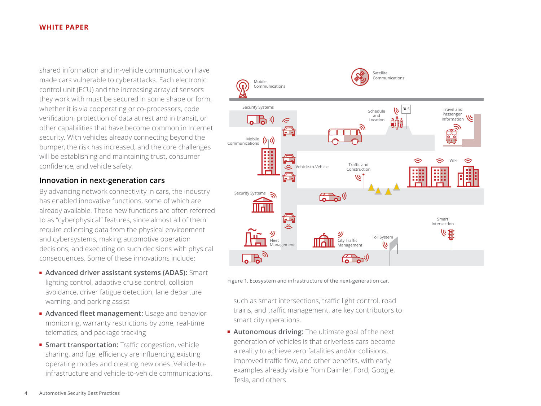<span id="page-3-0"></span>shared information and in-vehicle communication have made cars vulnerable to cyberattacks. Each electronic control unit (ECU) and the increasing array of sensors they work with must be secured in some shape or form, whether it is via cooperating or co-processors, code verification, protection of data at rest and in transit, or other capabilities that have become common in Internet security. With vehicles already connecting beyond the bumper, the risk has increased, and the core challenges will be establishing and maintaining trust, consumer confidence, and vehicle safety.

# **Innovation in next-generation cars**

By advancing network connectivity in cars, the industry has enabled innovative functions, some of which are already available. These new functions are often referred to as "cyberphysical" features, since almost all of them require collecting data from the physical environment and cybersystems, making automotive operation decisions, and executing on such decisions with physical consequences. Some of these innovations include:

- **Advanced driver assistant systems (ADAS):** Smart lighting control, adaptive cruise control, collision avoidance, driver fatigue detection, lane departure warning, and parking assist
- **Advanced fleet management:** Usage and behavior monitoring, warranty restrictions by zone, real-time telematics, and package tracking
- **Smart transportation:** Traffic congestion, vehicle sharing, and fuel efficiency are influencing existing operating modes and creating new ones. Vehicle-toinfrastructure and vehicle-to-vehicle communications,



Figure 1. Ecosystem and infrastructure of the next-generation car.

such as smart intersections, traffic light control, road trains, and traffic management, are key contributors to smart city operations.

■ **Autonomous driving:** The ultimate goal of the next generation of vehicles is that driverless cars become a reality to achieve zero fatalities and/or collisions, improved traffic flow, and other benefits, with early examples already visible from Daimler, Ford, Google, Tesla, and others.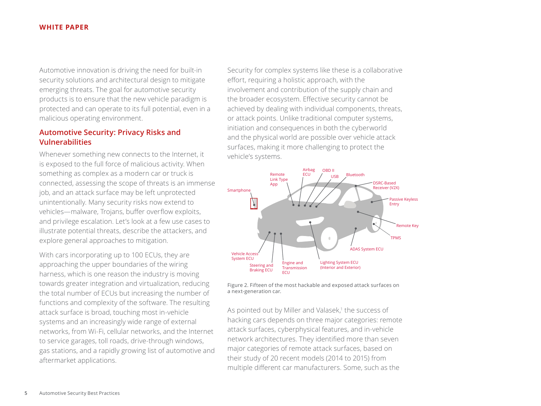<span id="page-4-0"></span>Automotive innovation is driving the need for built-in security solutions and architectural design to mitigate emerging threats. The goal for automotive security products is to ensure that the new vehicle paradigm is protected and can operate to its full potential, even in a malicious operating environment.

# **Automotive Security: Privacy Risks and Vulnerabilities**

Whenever something new connects to the Internet, it is exposed to the full force of malicious activity. When something as complex as a modern car or truck is connected, assessing the scope of threats is an immense job, and an attack surface may be left unprotected unintentionally. Many security risks now extend to vehicles—malware, Trojans, buffer overflow exploits, and privilege escalation. Let's look at a few use cases to illustrate potential threats, describe the attackers, and explore general approaches to mitigation.

With cars incorporating up to 100 ECUs, they are approaching the upper boundaries of the wiring harness, which is one reason the industry is moving towards greater integration and virtualization, reducing the total number of ECUs but increasing the number of functions and complexity of the software. The resulting attack surface is broad, touching most in-vehicle systems and an increasingly wide range of external networks, from Wi-Fi, cellular networks, and the Internet to service garages, toll roads, drive-through windows, gas stations, and a rapidly growing list of automotive and aftermarket applications.

Security for complex systems like these is a collaborative effort, requiring a holistic approach, with the involvement and contribution of the supply chain and the broader ecosystem. Effective security cannot be achieved by dealing with individual components, threats, or attack points. Unlike traditional computer systems, initiation and consequences in both the cyberworld and the physical world are possible over vehicle attack surfaces, making it more challenging to protect the vehicle's systems.



Figure 2. Fifteen of the most hackable and exposed attack surfaces on a next-generation car.

As pointed out by Miller and Valasek,<sup>1</sup> the success of hacking cars depends on three major categories: remote attack surfaces, cyberphysical features, and in-vehicle network architectures. They identified more than seven major categories of remote attack surfaces, based on their study of 20 recent models (2014 to 2015) from multiple different car manufacturers. Some, such as the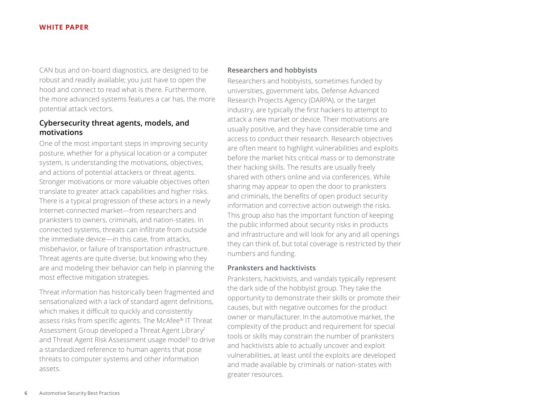<span id="page-5-0"></span>CAN bus and on-board diagnostics, are designed to be robust and readily available; you just have to open the hood and connect to read what is there. Furthermore, the more advanced systems features a car has, the more potential attack vectors.

# **Cybersecurity threat agents, models, and motivations**

One of the most important steps in improving security posture, whether for a physical location or a computer system, is understanding the motivations, objectives, and actions of potential attackers or threat agents. Stronger motivations or more valuable objectives often translate to greater attack capabilities and higher risks. There is a typical progression of these actors in a newly Internet-connected market—from researchers and pranksters to owners, criminals, and nation-states. In connected systems, threats can infiltrate from outside the immediate device—in this case, from attacks, misbehavior, or failure of transportation infrastructure. Threat agents are quite diverse, but knowing who they are and modeling their behavior can help in planning the most effective mitigation strategies.

Threat information has historically been fragmented and sensationalized with a lack of standard agent definitions, which makes it difficult to quickly and consistently assess risks from specific agents. The McAfee® IT Threat Assessment Group developed a Threat Agent Library2 and Threat Agent Risk Assessment usage model<sup>3</sup> to drive a standardized reference to human agents that pose threats to computer systems and other information assets.

#### **Researchers and hobbyists**

Researchers and hobbyists, sometimes funded by universities, government labs, Defense Advanced Research Projects Agency (DARPA), or the target industry, are typically the first hackers to attempt to attack a new market or device. Their motivations are usually positive, and they have considerable time and access to conduct their research. Research objectives are often meant to highlight vulnerabilities and exploits before the market hits critical mass or to demonstrate their hacking skills. The results are usually freely shared with others online and via conferences. While sharing may appear to open the door to pranksters and criminals, the benefits of open product security information and corrective action outweigh the risks. This group also has the important function of keeping the public informed about security risks in products and infrastructure and will look for any and all openings they can think of, but total coverage is restricted by their numbers and funding.

#### **Pranksters and hacktivists**

Pranksters, hacktivists, and vandals typically represent the dark side of the hobbyist group. They take the opportunity to demonstrate their skills or promote their causes, but with negative outcomes for the product owner or manufacturer. In the automotive market, the complexity of the product and requirement for special tools or skills may constrain the number of pranksters and hacktivists able to actually uncover and exploit vulnerabilities, at least until the exploits are developed and made available by criminals or nation-states with greater resources.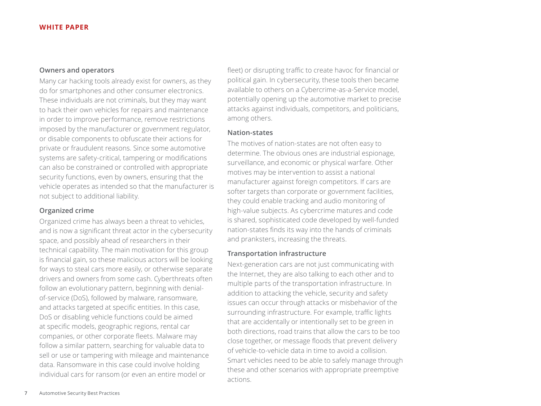# **Owners and operators**

Many car hacking tools already exist for owners, as they do for smartphones and other consumer electronics. These individuals are not criminals, but they may want to hack their own vehicles for repairs and maintenance in order to improve performance, remove restrictions imposed by the manufacturer or government regulator, or disable components to obfuscate their actions for private or fraudulent reasons. Since some automotive systems are safety-critical, tampering or modifications can also be constrained or controlled with appropriate security functions, even by owners, ensuring that the vehicle operates as intended so that the manufacturer is not subject to additional liability.

#### **Organized crime**

Organized crime has always been a threat to vehicles, and is now a significant threat actor in the cybersecurity space, and possibly ahead of researchers in their technical capability. The main motivation for this group is financial gain, so these malicious actors will be looking for ways to steal cars more easily, or otherwise separate drivers and owners from some cash. Cyberthreats often follow an evolutionary pattern, beginning with denialof-service (DoS), followed by malware, ransomware, and attacks targeted at specific entities. In this case, DoS or disabling vehicle functions could be aimed at specific models, geographic regions, rental car companies, or other corporate fleets. Malware may follow a similar pattern, searching for valuable data to sell or use or tampering with mileage and maintenance data. Ransomware in this case could involve holding individual cars for ransom (or even an entire model or

fleet) or disrupting traffic to create havoc for financial or political gain. In cybersecurity, these tools then became available to others on a Cybercrime-as-a-Service model, potentially opening up the automotive market to precise attacks against individuals, competitors, and politicians, among others.

#### **Nation-states**

The motives of nation-states are not often easy to determine. The obvious ones are industrial espionage, surveillance, and economic or physical warfare. Other motives may be intervention to assist a national manufacturer against foreign competitors. If cars are softer targets than corporate or government facilities, they could enable tracking and audio monitoring of high-value subjects. As cybercrime matures and code is shared, sophisticated code developed by well-funded nation-states finds its way into the hands of criminals and pranksters, increasing the threats.

#### **Transportation infrastructure**

Next-generation cars are not just communicating with the Internet, they are also talking to each other and to multiple parts of the transportation infrastructure. In addition to attacking the vehicle, security and safety issues can occur through attacks or misbehavior of the surrounding infrastructure. For example, traffic lights that are accidentally or intentionally set to be green in both directions, road trains that allow the cars to be too close together, or message floods that prevent delivery of vehicle-to-vehicle data in time to avoid a collision. Smart vehicles need to be able to safely manage through these and other scenarios with appropriate preemptive actions.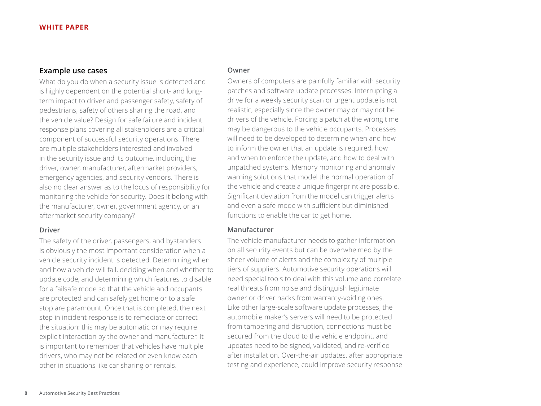# <span id="page-7-0"></span>**Example use cases**

What do you do when a security issue is detected and is highly dependent on the potential short- and longterm impact to driver and passenger safety, safety of pedestrians, safety of others sharing the road, and the vehicle value? Design for safe failure and incident response plans covering all stakeholders are a critical component of successful security operations. There are multiple stakeholders interested and involved in the security issue and its outcome, including the driver, owner, manufacturer, aftermarket providers, emergency agencies, and security vendors. There is also no clear answer as to the locus of responsibility for monitoring the vehicle for security. Does it belong with the manufacturer, owner, government agency, or an aftermarket security company?

#### **Driver**

The safety of the driver, passengers, and bystanders is obviously the most important consideration when a vehicle security incident is detected. Determining when and how a vehicle will fail, deciding when and whether to update code, and determining which features to disable for a failsafe mode so that the vehicle and occupants are protected and can safely get home or to a safe stop are paramount. Once that is completed, the next step in incident response is to remediate or correct the situation: this may be automatic or may require explicit interaction by the owner and manufacturer. It is important to remember that vehicles have multiple drivers, who may not be related or even know each other in situations like car sharing or rentals.

#### **Owner**

Owners of computers are painfully familiar with security patches and software update processes. Interrupting a drive for a weekly security scan or urgent update is not realistic, especially since the owner may or may not be drivers of the vehicle. Forcing a patch at the wrong time may be dangerous to the vehicle occupants. Processes will need to be developed to determine when and how to inform the owner that an update is required, how and when to enforce the update, and how to deal with unpatched systems. Memory monitoring and anomaly warning solutions that model the normal operation of the vehicle and create a unique fingerprint are possible. Significant deviation from the model can trigger alerts and even a safe mode with sufficient but diminished functions to enable the car to get home.

#### **Manufacturer**

The vehicle manufacturer needs to gather information on all security events but can be overwhelmed by the sheer volume of alerts and the complexity of multiple tiers of suppliers. Automotive security operations will need special tools to deal with this volume and correlate real threats from noise and distinguish legitimate owner or driver hacks from warranty-voiding ones. Like other large-scale software update processes, the automobile maker's servers will need to be protected from tampering and disruption, connections must be secured from the cloud to the vehicle endpoint, and updates need to be signed, validated, and re-verified after installation. Over-the-air updates, after appropriate testing and experience, could improve security response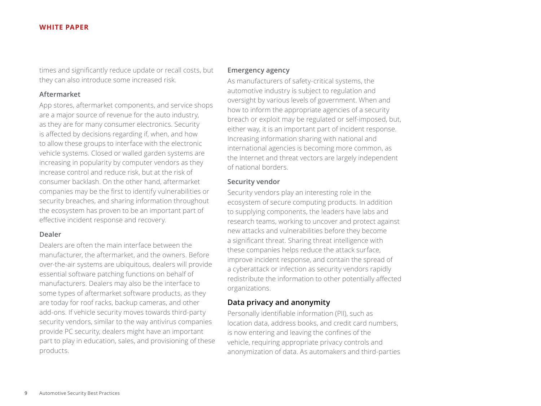<span id="page-8-0"></span>times and significantly reduce update or recall costs, but they can also introduce some increased risk.

#### **Aftermarket**

App stores, aftermarket components, and service shops are a major source of revenue for the auto industry, as they are for many consumer electronics. Security is affected by decisions regarding if, when, and how to allow these groups to interface with the electronic vehicle systems. Closed or walled garden systems are increasing in popularity by computer vendors as they increase control and reduce risk, but at the risk of consumer backlash. On the other hand, aftermarket companies may be the first to identify vulnerabilities or security breaches, and sharing information throughout the ecosystem has proven to be an important part of effective incident response and recovery.

#### **Dealer**

Dealers are often the main interface between the manufacturer, the aftermarket, and the owners. Before over-the-air systems are ubiquitous, dealers will provide essential software patching functions on behalf of manufacturers. Dealers may also be the interface to some types of aftermarket software products, as they are today for roof racks, backup cameras, and other add-ons. If vehicle security moves towards third-party security vendors, similar to the way antivirus companies provide PC security, dealers might have an important part to play in education, sales, and provisioning of these products.

#### **Emergency agency**

As manufacturers of safety-critical systems, the automotive industry is subject to regulation and oversight by various levels of government. When and how to inform the appropriate agencies of a security breach or exploit may be regulated or self-imposed, but, either way, it is an important part of incident response. Increasing information sharing with national and international agencies is becoming more common, as the Internet and threat vectors are largely independent of national borders.

#### **Security vendor**

Security vendors play an interesting role in the ecosystem of secure computing products. In addition to supplying components, the leaders have labs and research teams, working to uncover and protect against new attacks and vulnerabilities before they become a significant threat. Sharing threat intelligence with these companies helps reduce the attack surface, improve incident response, and contain the spread of a cyberattack or infection as security vendors rapidly redistribute the information to other potentially affected organizations.

#### **Data privacy and anonymity**

Personally identifiable information (PII), such as location data, address books, and credit card numbers, is now entering and leaving the confines of the vehicle, requiring appropriate privacy controls and anonymization of data. As automakers and third-parties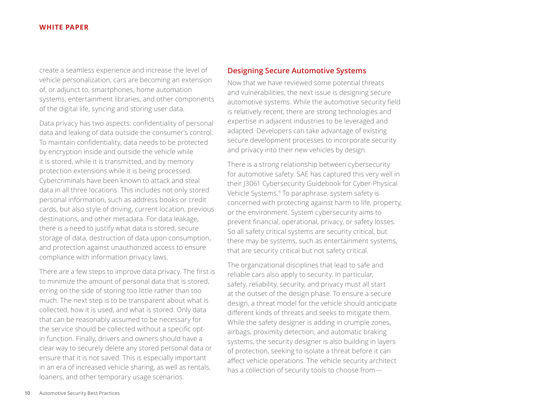<span id="page-9-0"></span>create a seamless experience and increase the level of vehicle personalization, cars are becoming an extension of, or adjunct to, smartphones, home automation systems, entertainment libraries, and other components of the digital life, syncing and storing user data.

Data privacy has two aspects: confidentiality of personal data and leaking of data outside the consumer's control. To maintain confidentiality, data needs to be protected by encryption inside and outside the vehicle while it is stored, while it is transmitted, and by memory protection extensions while it is being processed. Cybercriminals have been known to attack and steal data in all three locations. This includes not only stored personal information, such as address books or credit cards, but also style of driving, current location, previous destinations, and other metadata. For data leakage, there is a need to justify what data is stored, secure storage of data, destruction of data upon consumption, and protection against unauthorized access to ensure compliance with information privacy laws.

There are a few steps to improve data privacy. The first is to minimize the amount of personal data that is stored, erring on the side of storing too little rather than too much. The next step is to be transparent about what is collected, how it is used, and what is stored. Only data that can be reasonably assumed to be necessary for the service should be collected without a specific optin function. Finally, drivers and owners should have a clear way to securely delete any stored personal data or ensure that it is not saved. This is especially important in an era of increased vehicle sharing, as well as rentals, loaners, and other temporary usage scenarios.

#### **Designing Secure Automotive Systems**

Now that we have reviewed some potential threats and vulnerabilities, the next issue is designing secure automotive systems. While the automotive security field is relatively recent, there are strong technologies and expertise in adjacent industries to be leveraged and adapted. Developers can take advantage of existing secure development processes to incorporate security and privacy into their new vehicles by design.

There is a strong relationship between cybersecurity for automotive safety. SAE has captured this very well in their J3061 Cybersecurity Guidebook for Cyber-Physical Vehicle Systems.4 To paraphrase, system safety is concerned with protecting against harm to life, property, or the environment. System cybersecurity aims to prevent financial, operational, privacy, or safety losses. So all safety critical systems are security critical, but there may be systems, such as entertainment systems, that are security critical but not safety critical.

The organizational disciplines that lead to safe and reliable cars also apply to security. In particular, safety, reliability, security, and privacy must all start at the outset of the design phase. To ensure a secure design, a threat model for the vehicle should anticipate different kinds of threats and seeks to mitigate them. While the safety designer is adding in crumple zones, airbags, proximity detection, and automatic braking systems, the security designer is also building in layers of protection, seeking to isolate a threat before it can affect vehicle operations. The vehicle security architect has a collection of security tools to choose from—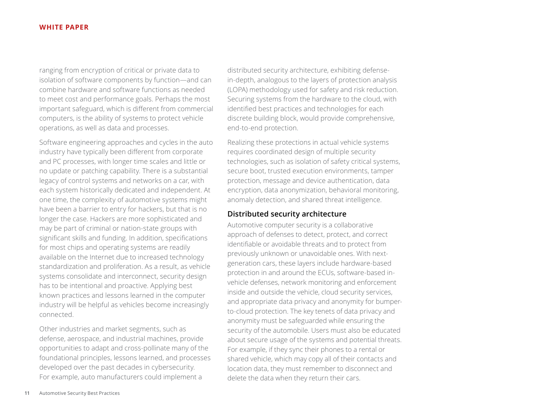<span id="page-10-0"></span>ranging from encryption of critical or private data to isolation of software components by function—and can combine hardware and software functions as needed to meet cost and performance goals. Perhaps the most important safeguard, which is different from commercial computers, is the ability of systems to protect vehicle operations, as well as data and processes.

Software engineering approaches and cycles in the auto industry have typically been different from corporate and PC processes, with longer time scales and little or no update or patching capability. There is a substantial legacy of control systems and networks on a car, with each system historically dedicated and independent. At one time, the complexity of automotive systems might have been a barrier to entry for hackers, but that is no longer the case. Hackers are more sophisticated and may be part of criminal or nation-state groups with significant skills and funding. In addition, specifications for most chips and operating systems are readily available on the Internet due to increased technology standardization and proliferation. As a result, as vehicle systems consolidate and interconnect, security design has to be intentional and proactive. Applying best known practices and lessons learned in the computer industry will be helpful as vehicles become increasingly connected.

Other industries and market segments, such as defense, aerospace, and industrial machines, provide opportunities to adapt and cross-pollinate many of the foundational principles, lessons learned, and processes developed over the past decades in cybersecurity. For example, auto manufacturers could implement a

distributed security architecture, exhibiting defensein-depth, analogous to the layers of protection analysis (LOPA) methodology used for safety and risk reduction. Securing systems from the hardware to the cloud, with identified best practices and technologies for each discrete building block, would provide comprehensive, end-to-end protection.

Realizing these protections in actual vehicle systems requires coordinated design of multiple security technologies, such as isolation of safety critical systems, secure boot, trusted execution environments, tamper protection, message and device authentication, data encryption, data anonymization, behavioral monitoring, anomaly detection, and shared threat intelligence.

#### **Distributed security architecture**

Automotive computer security is a collaborative approach of defenses to detect, protect, and correct identifiable or avoidable threats and to protect from previously unknown or unavoidable ones. With nextgeneration cars, these layers include hardware-based protection in and around the ECUs, software-based invehicle defenses, network monitoring and enforcement inside and outside the vehicle, cloud security services, and appropriate data privacy and anonymity for bumperto-cloud protection. The key tenets of data privacy and anonymity must be safeguarded while ensuring the security of the automobile. Users must also be educated about secure usage of the systems and potential threats. For example, if they sync their phones to a rental or shared vehicle, which may copy all of their contacts and location data, they must remember to disconnect and delete the data when they return their cars.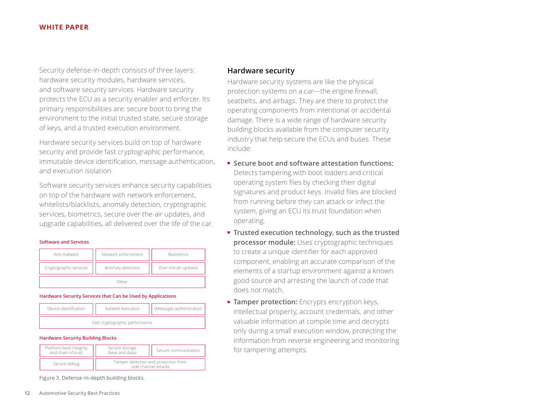<span id="page-11-0"></span>Security defense-in-depth consists of three layers: hardware security modules, hardware services, and software security services. Hardware security protects the ECU as a security enabler and enforcer. Its primary responsibilities are: secure boot to bring the environment to the initial trusted state, secure storage of keys, and a trusted execution environment.

Hardware security services build on top of hardware security and provide fast cryptographic performance, immutable device identification, message authentication, and execution isolation.

Software security services enhance security capabilities on top of the hardware with network enforcement, whitelists/blacklists, anomaly detection, cryptographic services, biometrics, secure over-the-air updates, and upgrade capabilities, all delivered over the life of the car.

#### **Software and Services**

| Anti-malware           | Network enforcement | <b>Biometrics</b>    |  |
|------------------------|---------------------|----------------------|--|
| Cryptographic services | Anomaly detection   | Over-the-air updates |  |
| Other                  |                     |                      |  |

#### **Hardware Security Services that Can be Used by Applications**



#### **Hardware Security Building Blocks**

| Platform boot integrity<br>and chain of trust | Secure storage<br>(keys and data)                            | Secure communication |
|-----------------------------------------------|--------------------------------------------------------------|----------------------|
| Secure debug                                  | Tamper detection and protection from<br>side channel attacks |                      |

Figure 3. Defense-in-depth building blocks.

#### **Hardware security**

Hardware security systems are like the physical protection systems on a car—the engine firewall, seatbelts, and airbags. They are there to protect the operating components from intentional or accidental damage. There is a wide range of hardware security building blocks available from the computer security industry that help secure the ECUs and buses. These include:

- **Secure boot and software attestation functions:** Detects tampering with boot loaders and critical operating system files by checking their digital signatures and product keys. Invalid files are blocked from running before they can attack or infect the system, giving an ECU its trust foundation when operating.
- **Trusted execution technology, such as the trusted processor module:** Uses cryptographic techniques to create a unique identifier for each approved component, enabling an accurate comparison of the elements of a startup environment against a known good source and arresting the launch of code that does not match.
- **EXECT: Tamper protection:** Encrypts encryption keys, intellectual property, account credentials, and other valuable information at compile time and decrypts only during a small execution window, protecting the information from reverse engineering and monitoring for tampering attempts.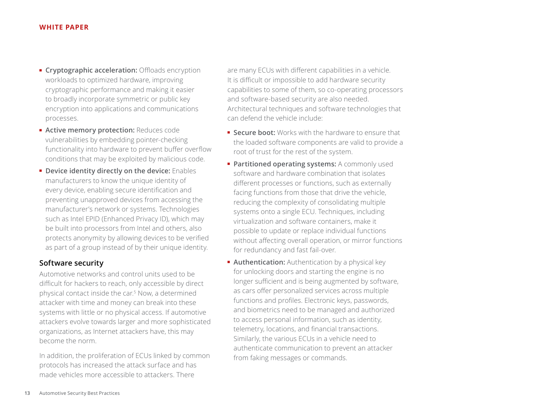- <span id="page-12-0"></span>**Exercise 2 Cryptographic acceleration:** Offloads encryption workloads to optimized hardware, improving cryptographic performance and making it easier to broadly incorporate symmetric or public key encryption into applications and communications processes.
- **Active memory protection:** Reduces code vulnerabilities by embedding pointer-checking functionality into hardware to prevent buffer overflow conditions that may be exploited by malicious code.
- **Device identity directly on the device:** Enables manufacturers to know the unique identity of every device, enabling secure identification and preventing unapproved devices from accessing the manufacturer's network or systems. Technologies such as Intel EPID (Enhanced Privacy ID), which may be built into processors from Intel and others, also protects anonymity by allowing devices to be verified as part of a group instead of by their unique identity.

# **Software security**

Automotive networks and control units used to be difficult for hackers to reach, only accessible by direct physical contact inside the car.5 Now, a determined attacker with time and money can break into these systems with little or no physical access. If automotive attackers evolve towards larger and more sophisticated organizations, as Internet attackers have, this may become the norm.

In addition, the proliferation of ECUs linked by common protocols has increased the attack surface and has made vehicles more accessible to attackers. There

are many ECUs with different capabilities in a vehicle. It is difficult or impossible to add hardware security capabilities to some of them, so co-operating processors and software-based security are also needed. Architectural techniques and software technologies that can defend the vehicle include:

- **Secure boot:** Works with the hardware to ensure that the loaded software components are valid to provide a root of trust for the rest of the system.
- **Partitioned operating systems:** A commonly used software and hardware combination that isolates different processes or functions, such as externally facing functions from those that drive the vehicle, reducing the complexity of consolidating multiple systems onto a single ECU. Techniques, including virtualization and software containers, make it possible to update or replace individual functions without affecting overall operation, or mirror functions for redundancy and fast fail-over.
- **Authentication:** Authentication by a physical key for unlocking doors and starting the engine is no longer sufficient and is being augmented by software, as cars offer personalized services across multiple functions and profiles. Electronic keys, passwords, and biometrics need to be managed and authorized to access personal information, such as identity, telemetry, locations, and financial transactions. Similarly, the various ECUs in a vehicle need to authenticate communication to prevent an attacker from faking messages or commands.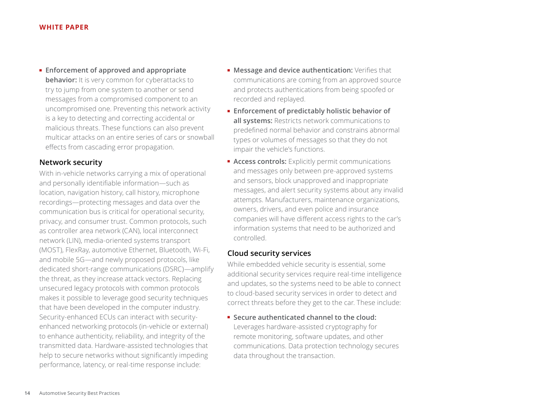<span id="page-13-0"></span>■ **Enforcement of approved and appropriate behavior:** It is very common for cyberattacks to try to jump from one system to another or send messages from a compromised component to an uncompromised one. Preventing this network activity is a key to detecting and correcting accidental or malicious threats. These functions can also prevent multicar attacks on an entire series of cars or snowball effects from cascading error propagation.

# **Network security**

With in-vehicle networks carrying a mix of operational and personally identifiable information—such as location, navigation history, call history, microphone recordings—protecting messages and data over the communication bus is critical for operational security, privacy, and consumer trust. Common protocols, such as controller area network (CAN), local interconnect network (LIN), media-oriented systems transport (MOST), FlexRay, automotive Ethernet, Bluetooth, Wi-Fi, and mobile 5G—and newly proposed protocols, like dedicated short-range communications (DSRC)—amplify the threat, as they increase attack vectors. Replacing unsecured legacy protocols with common protocols makes it possible to leverage good security techniques that have been developed in the computer industry. Security-enhanced ECUs can interact with securityenhanced networking protocols (in-vehicle or external) to enhance authenticity, reliability, and integrity of the transmitted data. Hardware-assisted technologies that help to secure networks without significantly impeding performance, latency, or real-time response include:

- **Message and device authentication:** Verifies that communications are coming from an approved source and protects authentications from being spoofed or recorded and replayed.
- **Enforcement of predictably holistic behavior of all systems:** Restricts network communications to predefined normal behavior and constrains abnormal types or volumes of messages so that they do not impair the vehicle's functions.
- **EXPLICITEER Access controls:** Explicitly permit communications and messages only between pre-approved systems and sensors, block unapproved and inappropriate messages, and alert security systems about any invalid attempts. Manufacturers, maintenance organizations, owners, drivers, and even police and insurance companies will have different access rights to the car's information systems that need to be authorized and controlled.

### **Cloud security services**

While embedded vehicle security is essential, some additional security services require real-time intelligence and updates, so the systems need to be able to connect to cloud-based security services in order to detect and correct threats before they get to the car. These include:

■ **Secure authenticated channel to the cloud:** Leverages hardware-assisted cryptography for remote monitoring, software updates, and other communications. Data protection technology secures data throughout the transaction.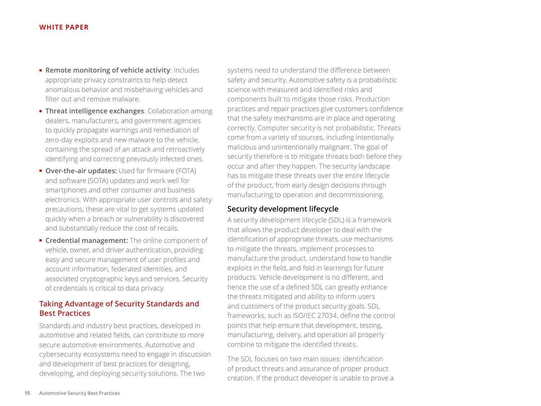- <span id="page-14-0"></span>■ **Remote monitoring of vehicle activity**: Includes appropriate privacy constraints to help detect anomalous behavior and misbehaving vehicles and filter out and remove malware.
- **Threat intelligence exchanges**: Collaboration among dealers, manufacturers, and government agencies to quickly propagate warnings and remediation of zero-day exploits and new malware to the vehicle, containing the spread of an attack and retroactively identifying and correcting previously infected ones.
- **Over-the-air updates:** Used for firmware (FOTA) and software (SOTA) updates and work well for smartphones and other consumer and business electronics. With appropriate user controls and safety precautions, these are vital to get systems updated quickly when a breach or vulnerability is discovered and substantially reduce the cost of recalls.
- **Credential management:** The online component of vehicle, owner, and driver authentication, providing easy and secure management of user profiles and account information, federated identities, and associated cryptographic keys and services. Security of credentials is critical to data privacy.

# **Taking Advantage of Security Standards and Best Practices**

Standards and industry best practices, developed in automotive and related fields, can contribute to more secure automotive environments. Automotive and cybersecurity ecosystems need to engage in discussion and development of best practices for designing, developing, and deploying security solutions. The two

systems need to understand the difference between safety and security. Automotive safety is a probabilistic science with measured and identified risks and components built to mitigate those risks. Production practices and repair practices give customers confidence that the safety mechanisms are in place and operating correctly. Computer security is not probabilistic. Threats come from a variety of sources, including intentionally malicious and unintentionally malignant. The goal of security therefore is to mitigate threats both before they occur and after they happen. The security landscape has to mitigate these threats over the entire lifecycle of the product, from early design decisions through manufacturing to operation and decommissioning.

# **Security development lifecycle**

A security development lifecycle (SDL) is a framework that allows the product developer to deal with the identification of appropriate threats, use mechanisms to mitigate the threats, implement processes to manufacture the product, understand how to handle exploits in the field, and fold in learnings for future products. Vehicle development is no different, and hence the use of a defined SDL can greatly enhance the threats mitigated and ability to inform users and customers of the product security goals. SDL frameworks, such as ISO/IEC 27034, define the control points that help ensure that development, testing, manufacturing, delivery, and operation all properly combine to mitigate the identified threats.

The SDL focuses on two main issues: identification of product threats and assurance of proper product creation. If the product developer is unable to prove a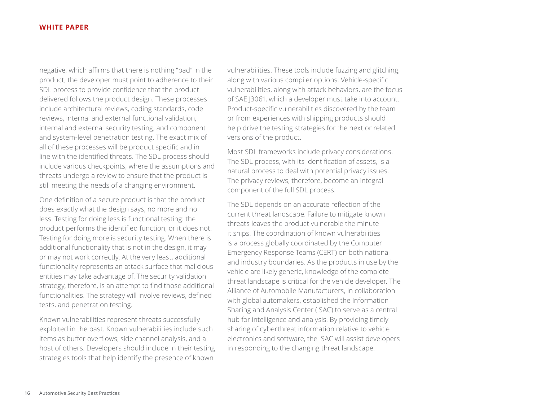negative, which affirms that there is nothing "bad" in the product, the developer must point to adherence to their SDL process to provide confidence that the product delivered follows the product design. These processes include architectural reviews, coding standards, code reviews, internal and external functional validation, internal and external security testing, and component and system-level penetration testing. The exact mix of all of these processes will be product specific and in line with the identified threats. The SDL process should include various checkpoints, where the assumptions and threats undergo a review to ensure that the product is still meeting the needs of a changing environment.

One definition of a secure product is that the product does exactly what the design says, no more and no less. Testing for doing less is functional testing: the product performs the identified function, or it does not. Testing for doing more is security testing. When there is additional functionality that is not in the design, it may or may not work correctly. At the very least, additional functionality represents an attack surface that malicious entities may take advantage of. The security validation strategy, therefore, is an attempt to find those additional functionalities. The strategy will involve reviews, defined tests, and penetration testing.

Known vulnerabilities represent threats successfully exploited in the past. Known vulnerabilities include such items as buffer overflows, side channel analysis, and a host of others. Developers should include in their testing strategies tools that help identify the presence of known

vulnerabilities. These tools include fuzzing and glitching, along with various compiler options. Vehicle-specific vulnerabilities, along with attack behaviors, are the focus of SAE J3061, which a developer must take into account. Product-specific vulnerabilities discovered by the team or from experiences with shipping products should help drive the testing strategies for the next or related versions of the product.

Most SDL frameworks include privacy considerations. The SDL process, with its identification of assets, is a natural process to deal with potential privacy issues. The privacy reviews, therefore, become an integral component of the full SDL process.

The SDL depends on an accurate reflection of the current threat landscape. Failure to mitigate known threats leaves the product vulnerable the minute it ships. The coordination of known vulnerabilities is a process globally coordinated by the Computer Emergency Response Teams (CERT) on both national and industry boundaries. As the products in use by the vehicle are likely generic, knowledge of the complete threat landscape is critical for the vehicle developer. The Alliance of Automobile Manufacturers, in collaboration with global automakers, established the Information Sharing and Analysis Center (ISAC) to serve as a central hub for intelligence and analysis. By providing timely sharing of cyberthreat information relative to vehicle electronics and software, the ISAC will assist developers in responding to the changing threat landscape.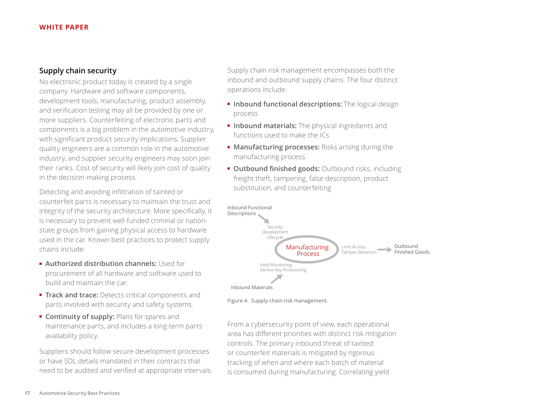# <span id="page-16-0"></span>**Supply chain security**

No electronic product today is created by a single company. Hardware and software components, development tools, manufacturing, product assembly, and verification testing may all be provided by one or more suppliers. Counterfeiting of electronic parts and components is a big problem in the automotive industry, with significant product security implications. Supplier quality engineers are a common role in the automotive industry, and supplier security engineers may soon join their ranks. Cost of security will likely join cost of quality in the decision-making process.

Detecting and avoiding infiltration of tainted or counterfeit parts is necessary to maintain the trust and integrity of the security architecture. More specifically, it is necessary to prevent well-funded criminal or nationstate groups from gaining physical access to hardware used in the car. Known best practices to protect supply chains include:

- **Authorized distribution channels:** Used for procurement of all hardware and software used to build and maintain the car.
- **Track and trace:** Detects critical components and parts involved with security and safety systems.
- **Continuity of supply:** Plans for spares and maintenance parts, and includes a long-term parts availability policy.

Suppliers should follow secure development processes or have SDL details mandated in their contracts that need to be audited and verified at appropriate intervals. Supply chain risk management encompasses both the inbound and outbound supply chains. The four distinct operations include:

- **Inbound functional descriptions:** The logical design process
- **Inbound materials:** The physical ingredients and functions used to make the ICs
- **Manufacturing processes:** Risks arising during the manufacturing process
- **Outbound finished goods:** Outbound risks, including freight theft, tampering, false description, product substitution, and counterfeiting



Figure 4. Supply chain risk management.

From a cybersecurity point of view, each operational area has different priorities with distinct risk mitigation controls. The primary inbound threat of tainted or counterfeit materials is mitigated by rigorous tracking of when and where each batch of material is consumed during manufacturing. Correlating yield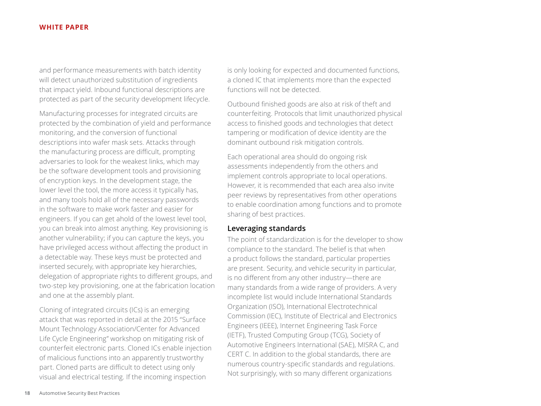<span id="page-17-0"></span>and performance measurements with batch identity will detect unauthorized substitution of ingredients that impact yield. Inbound functional descriptions are protected as part of the security development lifecycle.

Manufacturing processes for integrated circuits are protected by the combination of yield and performance monitoring, and the conversion of functional descriptions into wafer mask sets. Attacks through the manufacturing process are difficult, prompting adversaries to look for the weakest links, which may be the software development tools and provisioning of encryption keys. In the development stage, the lower level the tool, the more access it typically has, and many tools hold all of the necessary passwords in the software to make work faster and easier for engineers. If you can get ahold of the lowest level tool, you can break into almost anything. Key provisioning is another vulnerability; if you can capture the keys, you have privileged access without affecting the product in a detectable way. These keys must be protected and inserted securely, with appropriate key hierarchies, delegation of appropriate rights to different groups, and two-step key provisioning, one at the fabrication location and one at the assembly plant.

Cloning of integrated circuits (ICs) is an emerging attack that was reported in detail at the 2015 "Surface Mount Technology Association/Center for Advanced Life Cycle Engineering" workshop on mitigating risk of counterfeit electronic parts. Cloned ICs enable injection of malicious functions into an apparently trustworthy part. Cloned parts are difficult to detect using only visual and electrical testing. If the incoming inspection

is only looking for expected and documented functions, a cloned IC that implements more than the expected functions will not be detected.

Outbound finished goods are also at risk of theft and counterfeiting. Protocols that limit unauthorized physical access to finished goods and technologies that detect tampering or modification of device identity are the dominant outbound risk mitigation controls.

Each operational area should do ongoing risk assessments independently from the others and implement controls appropriate to local operations. However, it is recommended that each area also invite peer reviews by representatives from other operations to enable coordination among functions and to promote sharing of best practices.

# **Leveraging standards**

The point of standardization is for the developer to show compliance to the standard. The belief is that when a product follows the standard, particular properties are present. Security, and vehicle security in particular, is no different from any other industry—there are many standards from a wide range of providers. A very incomplete list would include International Standards Organization (ISO), International Electrotechnical Commission (IEC), Institute of Electrical and Electronics Engineers (IEEE), Internet Engineering Task Force (IETF), Trusted Computing Group (TCG), Society of Automotive Engineers International (SAE), MISRA C, and CERT C. In addition to the global standards, there are numerous country-specific standards and regulations. Not surprisingly, with so many different organizations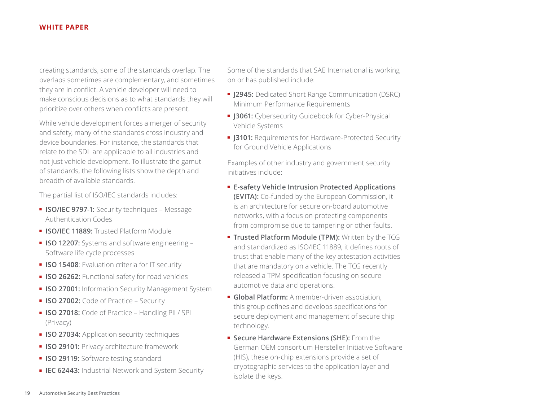creating standards, some of the standards overlap. The overlaps sometimes are complementary, and sometimes they are in conflict. A vehicle developer will need to make conscious decisions as to what standards they will prioritize over others when conflicts are present.

While vehicle development forces a merger of security and safety, many of the standards cross industry and device boundaries. For instance, the standards that relate to the SDL are applicable to all industries and not just vehicle development. To illustrate the gamut of standards, the following lists show the depth and breadth of available standards.

The partial list of ISO/IEC standards includes:

- **ISO/IEC 9797-1:** Security techniques Message Authentication Codes
- **ISO/IEC 11889:** Trusted Platform Module
- **ISO 12207:** Systems and software engineering Software life cycle processes
- **ISO 15408**: Evaluation criteria for IT security
- **ISO 26262:** Functional safety for road vehicles
- **ISO 27001:** Information Security Management System
- **ISO 27002:** Code of Practice Security
- **ISO 27018:** Code of Practice Handling PII / SPI (Privacy)
- **ISO 27034: Application security techniques**
- **ISO 29101:** Privacy architecture framework
- **ISO 29119:** Software testing standard
- **IEC 62443:** Industrial Network and System Security

Some of the standards that SAE International is working on or has published include:

- **J2945:** Dedicated Short Range Communication (DSRC) Minimum Performance Requirements
- **J3061:** Cybersecurity Guidebook for Cyber-Physical Vehicle Systems
- **J3101:** Requirements for Hardware-Protected Security for Ground Vehicle Applications

Examples of other industry and government security initiatives include:

- **E-safety Vehicle Intrusion Protected Applications (EVITA):** Co-funded by the European Commission, it is an architecture for secure on-board automotive networks, with a focus on protecting components from compromise due to tampering or other faults.
- **Trusted Platform Module (TPM):** Written by the TCG and standardized as ISO/IEC 11889, it defines roots of trust that enable many of the key attestation activities that are mandatory on a vehicle. The TCG recently released a TPM specification focusing on secure automotive data and operations.
- **Global Platform:** A member-driven association, this group defines and develops specifications for secure deployment and management of secure chip technology.
- **Secure Hardware Extensions (SHE):** From the German OEM consortium Hersteller Initiative Software (HIS), these on-chip extensions provide a set of cryptographic services to the application layer and isolate the keys.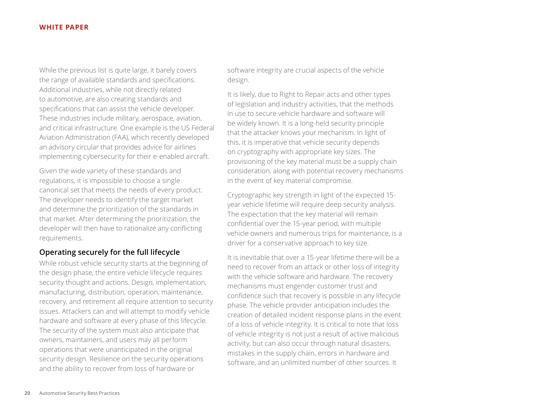<span id="page-19-0"></span>While the previous list is quite large, it barely covers the range of available standards and specifications. Additional industries, while not directly related to automotive, are also creating standards and specifications that can assist the vehicle developer. These industries include military, aerospace, aviation, and critical infrastructure. One example is the US Federal Aviation Administration (FAA), which recently developed an advisory circular that provides advice for airlines implementing cybersecurity for their e-enabled aircraft.

Given the wide variety of these standards and regulations, it is impossible to choose a single canonical set that meets the needs of every product. The developer needs to identify the target market and determine the prioritization of the standards in that market. After determining the prioritization, the developer will then have to rationalize any conflicting requirements.

# **Operating securely for the full lifecycle**

While robust vehicle security starts at the beginning of the design phase, the entire vehicle lifecycle requires security thought and actions. Design, implementation, manufacturing, distribution, operation, maintenance, recovery, and retirement all require attention to security issues. Attackers can and will attempt to modify vehicle hardware and software at every phase of this lifecycle. The security of the system must also anticipate that owners, maintainers, and users may all perform operations that were unanticipated in the original security design. Resilience on the security operations and the ability to recover from loss of hardware or

software integrity are crucial aspects of the vehicle design.

It is likely, due to Right to Repair acts and other types of legislation and industry activities, that the methods in use to secure vehicle hardware and software will be widely known. It is a long-held security principle that the attacker knows your mechanism. In light of this, it is imperative that vehicle security depends on cryptography with appropriate key sizes. The provisioning of the key material must be a supply chain consideration, along with potential recovery mechanisms in the event of key material compromise.

Cryptographic key strength in light of the expected 15 year vehicle lifetime will require deep security analysis. The expectation that the key material will remain confidential over the 15-year period, with multiple vehicle owners and numerous trips for maintenance, is a driver for a conservative approach to key size.

It is inevitable that over a 15-year lifetime there will be a need to recover from an attack or other loss of integrity with the vehicle software and hardware. The recovery mechanisms must engender customer trust and confidence such that recovery is possible in any lifecycle phase. The vehicle provider anticipation includes the creation of detailed incident response plans in the event of a loss of vehicle integrity. It is critical to note that loss of vehicle integrity is not just a result of active malicious activity, but can also occur through natural disasters, mistakes in the supply chain, errors in hardware and software, and an unlimited number of other sources. It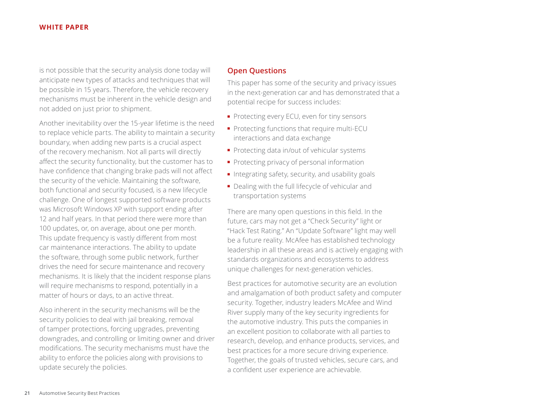<span id="page-20-0"></span>is not possible that the security analysis done today will anticipate new types of attacks and techniques that will be possible in 15 years. Therefore, the vehicle recovery mechanisms must be inherent in the vehicle design and not added on just prior to shipment.

Another inevitability over the 15-year lifetime is the need to replace vehicle parts. The ability to maintain a security boundary, when adding new parts is a crucial aspect of the recovery mechanism. Not all parts will directly affect the security functionality, but the customer has to have confidence that changing brake pads will not affect the security of the vehicle. Maintaining the software, both functional and security focused, is a new lifecycle challenge. One of longest supported software products was Microsoft Windows XP with support ending after 12 and half years. In that period there were more than 100 updates, or, on average, about one per month. This update frequency is vastly different from most car maintenance interactions. The ability to update the software, through some public network, further drives the need for secure maintenance and recovery mechanisms. It is likely that the incident response plans will require mechanisms to respond, potentially in a matter of hours or days, to an active threat.

Also inherent in the security mechanisms will be the security policies to deal with jail breaking, removal of tamper protections, forcing upgrades, preventing downgrades, and controlling or limiting owner and driver modifications. The security mechanisms must have the ability to enforce the policies along with provisions to update securely the policies.

# **Open Questions**

This paper has some of the security and privacy issues in the next-generation car and has demonstrated that a potential recipe for success includes:

- Protecting every ECU, even for tiny sensors
- Protecting functions that require multi-ECU interactions and data exchange
- Protecting data in/out of vehicular systems
- Protecting privacy of personal information
- Integrating safety, security, and usability goals
- Dealing with the full lifecycle of vehicular and transportation systems

There are many open questions in this field. In the future, cars may not get a "Check Security" light or "Hack Test Rating." An "Update Software" light may well be a future reality. McAfee has established technology leadership in all these areas and is actively engaging with standards organizations and ecosystems to address unique challenges for next-generation vehicles.

Best practices for automotive security are an evolution and amalgamation of both product safety and computer security. Together, industry leaders McAfee and Wind River supply many of the key security ingredients for the automotive industry. This puts the companies in an excellent position to collaborate with all parties to research, develop, and enhance products, services, and best practices for a more secure driving experience. Together, the goals of trusted vehicles, secure cars, and a confident user experience are achievable.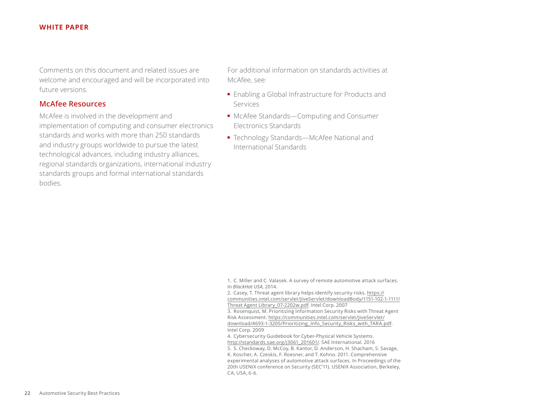<span id="page-21-0"></span>Comments on this document and related issues are welcome and encouraged and will be incorporated into future versions.

#### **McAfee Resources**

McAfee is involved in the development and implementation of computing and consumer electronics standards and works with more than 250 standards and industry groups worldwide to pursue the latest technological advances, including industry alliances, regional standards organizations, international industry standards groups and formal international standards bodies.

For additional information on standards activities at McAfee, see:

- Enabling a Global Infrastructure for Products and Services
- McAfee Standards-Computing and Consumer Electronics Standards
- Technology Standards—McAfee National and International Standards

1. C. Miller and C. Valasek. A survey of remote automotive attack surfaces. In *BlackHat USA*, 2014.

2. Casey, T. Threat agent library helps identify security risks. [https://](https://communities.intel.com/servlet/JiveServlet/downloadBody/1151-102-1-1111/Threat Agent Library_) [communities.intel.com/servlet/JiveServlet/downloadBody/1151-102-1-1111/](https://communities.intel.com/servlet/JiveServlet/downloadBody/1151-102-1-1111/Threat Agent Library_) [Threat Agent Library\\_07-2202w.pdf.](https://communities.intel.com/servlet/JiveServlet/downloadBody/1151-102-1-1111/Threat Agent Library_) Intel Corp. 2007 3. Rosenquist, M. Prioritizing Information Security Risks with Threat Agent Risk Assessment. [https://communities.intel.com/servlet/JiveServlet/](https://communities.intel.com/servlet/JiveServlet/download/4693-1-3205/Prioritizing_Info_Security_Ri) [download/4693-1-3205/Prioritizing\\_Info\\_Security\\_Risks\\_with\\_TARA.pdf](https://communities.intel.com/servlet/JiveServlet/download/4693-1-3205/Prioritizing_Info_Security_Ri).

Intel Corp. 2009

4. Cybersecurity Guidebook for Cyber-Physical Vehicle Systems. [http://standards.sae.org/j3061\\_201601/.](http://standards.sae.org/j3061_201601/) SAE International. 2016 5. S. Checkoway, D. McCoy, B. Kantor, D. Anderson, H. Shacham, S. Savage, K. Koscher, A. Czeskis, F. Roesner, and T. Kohno. 2011. Comprehensive experimental analyses of automotive attack surfaces. In Proceedings of the 20th USENIX conference on Security (SEC'11). USENIX Association, Berkeley, CA, USA, 6-6.